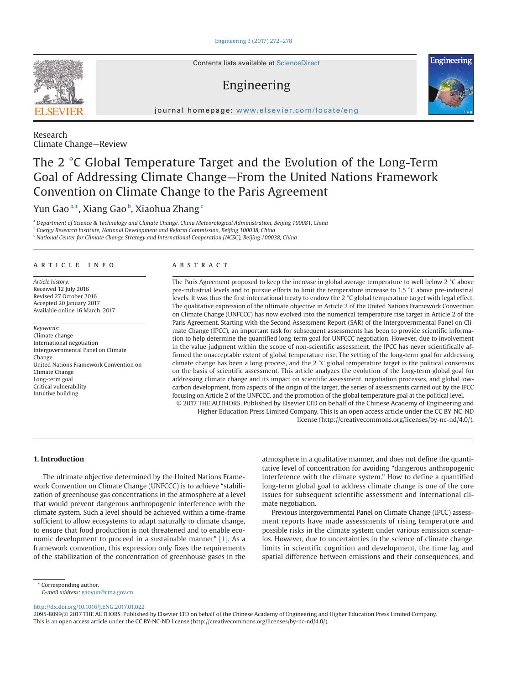#### Engineering 3 (2017) 272–278



Contents lists available at ScienceDirect

# Engineering



journal homepage: www.elsevier.com/locate/eng

Research Climate Change—Review

# The 2 °C Global Temperature Target and the Evolution of the Long-Term Goal of Addressing Climate Change—From the United Nations Framework Convention on Climate Change to the Paris Agreement

Yun Gao ª,\*, Xiang Gao <sup>b</sup>, Xiaohua Zhang <sup>c</sup>

a  *Department of Science* & *Technology and Climate Change, China Meteorological Administration, Beijing 100081, China*

b  *Energy Research Institute, National Development and Reform Commission, Beijing 100038, China*

c  *National Center for Climate Change Strategy and International Cooperation (NCSC), Beijing 100038, China*

# A R T I C L E I N F O A B S T R A C T

*Article history:* Received 12 July 2016 Revised 27 October 2016 Accepted 20 January 2017 Available online 16 March 2017

*Keywords:* Climate change International negotiation Intergovernmental Panel on Climate Change United Nations Framework Convention on Climate Change Long-term goal Critical vulnerability Intuitive building

The Paris Agreement proposed to keep the increase in global average temperature to well below 2 °C above pre-industrial levels and to pursue efforts to limit the temperature increase to 1.5 °C above pre-industrial levels. It was thus the first international treaty to endow the 2 °C global temperature target with legal effect. The qualitative expression of the ultimate objective in Article 2 of the United Nations Framework Convention on Climate Change (UNFCCC) has now evolved into the numerical temperature rise target in Article 2 of the Paris Agreement. Starting with the Second Assessment Report (SAR) of the Intergovernmental Panel on Climate Change (IPCC), an important task for subsequent assessments has been to provide scientific information to help determine the quantified long-term goal for UNFCCC negotiation. However, due to involvement in the value judgment within the scope of non-scientific assessment, the IPCC has never scientifically affirmed the unacceptable extent of global temperature rise. The setting of the long-term goal for addressing climate change has been a long process, and the  $2 °C$  global temperature target is the political consensus on the basis of scientific assessment. This article analyzes the evolution of the long-term global goal for addressing climate change and its impact on scientific assessment, negotiation processes, and global lowcarbon development, from aspects of the origin of the target, the series of assessments carried out by the IPCC focusing on Article 2 of the UNFCCC, and the promotion of the global temperature goal at the political level. © 2017 THE AUTHORS. Published by Elsevier LTD on behalf of the Chinese Academy of Engineering and

Higher Education Press Limited Company. This is an open access article under the CC BY-NC-ND license (http://creativecommons.org/licenses/by-nc-nd/4.0/).

**1. Introduction** 

The ultimate objective determined by the United Nations Framework Convention on Climate Change (UNFCCC) is to achieve "stabilization of greenhouse gas concentrations in the atmosphere at a level that would prevent dangerous anthropogenic interference with the climate system. Such a level should be achieved within a time-frame sufficient to allow ecosystems to adapt naturally to climate change, to ensure that food production is not threatened and to enable economic development to proceed in a sustainable manner" [1]. As a framework convention, this expression only fixes the requirements of the stabilization of the concentration of greenhouse gases in the

atmosphere in a qualitative manner, and does not define the quantitative level of concentration for avoiding "dangerous anthropogenic interference with the climate system." How to define a quantified long-term global goal to address climate change is one of the core issues for subsequent scientific assessment and international climate negotiation.

Previous Intergovernmental Panel on Climate Change (IPCC) assessment reports have made assessments of rising temperature and possible risks in the climate system under various emission scenarios. However, due to uncertainties in the science of climate change, limits in scientific cognition and development, the time lag and spatial difference between emissions and their consequences, and

\* Corresponding author.

http://dx.doi.org/10.1016/J.ENG.2017.01.022

2095-8099/© 2017 THE AUTHORS. Published by Elsevier LTD on behalf of the Chinese Academy of Engineering and Higher Education Press Limited Company. This is an open access article under the CC BY-NC-ND license (http://creativecommons.org/licenses/by-nc-nd/4.0/).

*E-mail address:* gaoyun@cma.gov.cn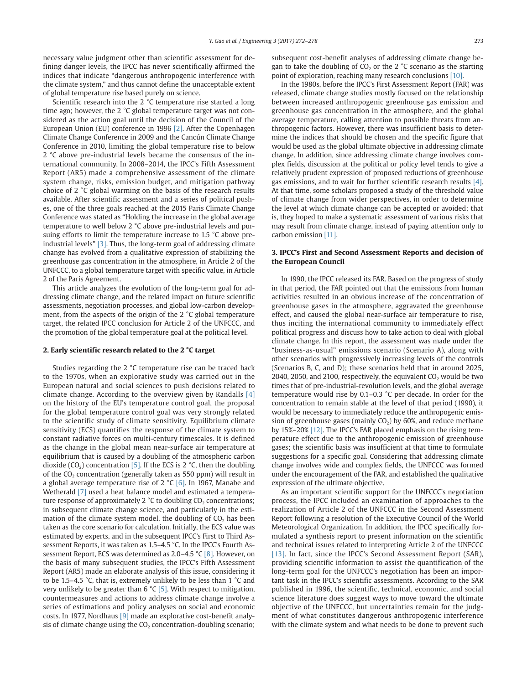necessary value judgment other than scientific assessment for defining danger levels, the IPCC has never scientifically affirmed the indices that indicate "dangerous anthropogenic interference with the climate system," and thus cannot define the unacceptable extent of global temperature rise based purely on science.

Scientific research into the 2 °C temperature rise started a long time ago; however, the 2 °C global temperature target was not considered as the action goal until the decision of the Council of the European Union (EU) conference in 1996 [2]. After the Copenhagen Climate Change Conference in 2009 and the Cancún Climate Change Conference in 2010, limiting the global temperature rise to below 2 °C above pre-industrial levels became the consensus of the international community. In 2008–2014, the IPCC's Fifth Assessment Report (AR5) made a comprehensive assessment of the climate system change, risks, emission budget, and mitigation pathway choice of 2 °C global warming on the basis of the research results available. After scientific assessment and a series of political pushes, one of the three goals reached at the 2015 Paris Climate Change Conference was stated as "Holding the increase in the global average temperature to well below 2 °C above pre-industrial levels and pursuing efforts to limit the temperature increase to 1.5 °C above preindustrial levels" [3]. Thus, the long-term goal of addressing climate change has evolved from a qualitative expression of stabilizing the greenhouse gas concentration in the atmosphere, in Article 2 of the UNFCCC, to a global temperature target with specific value, in Article 2 of the Paris Agreement.

This article analyzes the evolution of the long-term goal for addressing climate change, and the related impact on future scientific assessments, negotiation processes, and global low-carbon development, from the aspects of the origin of the 2 °C global temperature target, the related IPCC conclusion for Article 2 of the UNFCCC, and the promotion of the global temperature goal at the political level.

#### **2. Early scientific research related to the 2 °C target**

Studies regarding the 2 °C temperature rise can be traced back to the 1970s, when an explorative study was carried out in the European natural and social sciences to push decisions related to climate change. According to the overview given by Randalls [4] on the history of the EU's temperature control goal, the proposal for the global temperature control goal was very strongly related to the scientific study of climate sensitivity. Equilibrium climate sensitivity (ECS) quantifies the response of the climate system to constant radiative forces on multi-century timescales. It is defined as the change in the global mean near-surface air temperature at equilibrium that is caused by a doubling of the atmospheric carbon dioxide ( $CO<sub>2</sub>$ ) concentration [5]. If the ECS is 2 °C, then the doubling of the  $CO<sub>2</sub>$  concentration (generally taken as 550 ppm) will result in a global average temperature rise of 2 °C [6]. In 1967, Manabe and Wetherald [7] used a heat balance model and estimated a temperature response of approximately 2  $^{\circ}$ C to doubling CO<sub>2</sub> concentrations; in subsequent climate change science, and particularly in the estimation of the climate system model, the doubling of  $CO<sub>2</sub>$  has been taken as the core scenario for calculation. Initially, the ECS value was estimated by experts, and in the subsequent IPCC's First to Third Assessment Reports, it was taken as 1.5–4.5 °C. In the IPCC's Fourth Assessment Report, ECS was determined as 2.0–4.5 °C [8]. However, on the basis of many subsequent studies, the IPCC's Fifth Assessment Report (AR5) made an elaborate analysis of this issue, considering it to be 1.5–4.5 °C, that is, extremely unlikely to be less than 1 °C and very unlikely to be greater than  $6 °C$  [5]. With respect to mitigation, countermeasures and actions to address climate change involve a series of estimations and policy analyses on social and economic costs. In 1977, Nordhaus [9] made an explorative cost-benefit analysis of climate change using the  $CO<sub>2</sub>$  concentration-doubling scenario;

subsequent cost-benefit analyses of addressing climate change began to take the doubling of  $CO<sub>2</sub>$  or the 2 °C scenario as the starting point of exploration, reaching many research conclusions [10].

In the 1980s, before the IPCC's First Assessment Report (FAR) was released, climate change studies mostly focused on the relationship between increased anthropogenic greenhouse gas emission and greenhouse gas concentration in the atmosphere, and the global average temperature, calling attention to possible threats from anthropogenic factors. However, there was insufficient basis to determine the indices that should be chosen and the specific figure that would be used as the global ultimate objective in addressing climate change. In addition, since addressing climate change involves complex fields, discussion at the political or policy level tends to give a relatively prudent expression of proposed reductions of greenhouse gas emissions, and to wait for further scientific research results [4]. At that time, some scholars proposed a study of the threshold value of climate change from wider perspectives, in order to determine the level at which climate change can be accepted or avoided; that is, they hoped to make a systematic assessment of various risks that may result from climate change, instead of paying attention only to carbon emission [11].

## **3. IPCC's First and Second Assessment Reports and decision of the European Council**

In 1990, the IPCC released its FAR. Based on the progress of study in that period, the FAR pointed out that the emissions from human activities resulted in an obvious increase of the concentration of greenhouse gases in the atmosphere, aggravated the greenhouse effect, and caused the global near-surface air temperature to rise, thus inciting the international community to immediately effect political progress and discuss how to take action to deal with global climate change. In this report, the assessment was made under the "business-as-usual" emissions scenario (Scenario A), along with other scenarios with progressively increasing levels of the controls (Scenarios B, C, and D); these scenarios held that in around 2025, 2040, 2050, and 2100, respectively, the equivalent  $CO<sub>2</sub>$  would be two times that of pre-industrial-revolution levels, and the global average temperature would rise by 0.1–0.3 °C per decade. In order for the concentration to remain stable at the level of that period (1990), it would be necessary to immediately reduce the anthropogenic emission of greenhouse gases (mainly  $CO<sub>2</sub>$ ) by 60%, and reduce methane by 15%–20% [12]. The IPCC's FAR placed emphasis on the rising temperature effect due to the anthropogenic emission of greenhouse gases; the scientific basis was insufficient at that time to formulate suggestions for a specific goal. Considering that addressing climate change involves wide and complex fields, the UNFCCC was formed under the encouragement of the FAR, and established the qualitative expression of the ultimate objective.

As an important scientific support for the UNFCCC's negotiation process, the IPCC included an examination of approaches to the realization of Article 2 of the UNFCCC in the Second Assessment Report following a resolution of the Executive Council of the World Meteorological Organization. In addition, the IPCC specifically formulated a synthesis report to present information on the scientific and technical issues related to interpreting Article 2 of the UNFCCC [13]. In fact, since the IPCC's Second Assessment Report (SAR), providing scientific information to assist the quantification of the long-term goal for the UNFCCC's negotiation has been an important task in the IPCC's scientific assessments. According to the SAR published in 1996, the scientific, technical, economic, and social science literature does suggest ways to move toward the ultimate objective of the UNFCCC, but uncertainties remain for the judgment of what constitutes dangerous anthropogenic interference with the climate system and what needs to be done to prevent such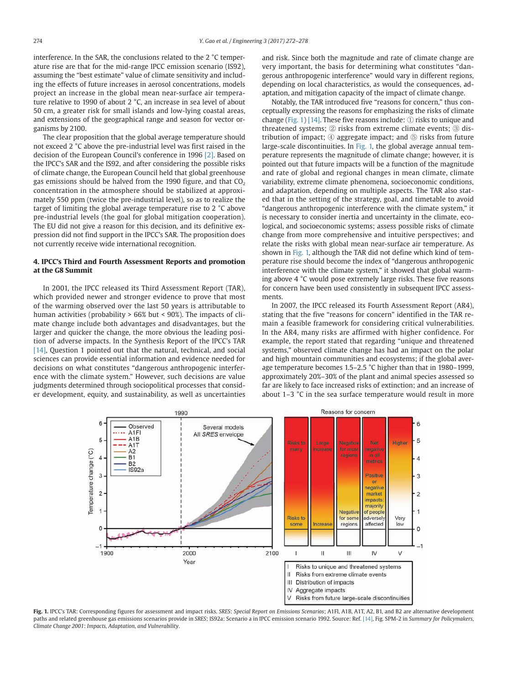interference. In the SAR, the conclusions related to the 2 °C temperature rise are that for the mid-range IPCC emission scenario (IS92), assuming the "best estimate" value of climate sensitivity and including the effects of future increases in aerosol concentrations, models project an increase in the global mean near-surface air temperature relative to 1990 of about 2 °C, an increase in sea level of about 50 cm, a greater risk for small islands and low-lying coastal areas, and extensions of the geographical range and season for vector organisms by 2100.

The clear proposition that the global average temperature should not exceed 2 °C above the pre-industrial level was first raised in the decision of the European Council's conference in 1996 [2]. Based on the IPCC's SAR and the IS92, and after considering the possible risks of climate change, the European Council held that global greenhouse gas emissions should be halved from the 1990 figure, and that  $CO<sub>2</sub>$ concentration in the atmosphere should be stabilized at approximately 550 ppm (twice the pre-industrial level), so as to realize the target of limiting the global average temperature rise to 2 °C above pre-industrial levels (the goal for global mitigation cooperation). The EU did not give a reason for this decision, and its definitive expression did not find support in the IPCC's SAR. The proposition does not currently receive wide international recognition.

# **4. IPCC's Third and Fourth Assessment Reports and promotion at the G8 Summit**

In 2001, the IPCC released its Third Assessment Report (TAR), which provided newer and stronger evidence to prove that most of the warming observed over the last 50 years is attributable to human activities (probability > 66% but < 90%). The impacts of climate change include both advantages and disadvantages, but the larger and quicker the change, the more obvious the leading position of adverse impacts. In the Synthesis Report of the IPCC's TAR [14], Question 1 pointed out that the natural, technical, and social sciences can provide essential information and evidence needed for decisions on what constitutes "dangerous anthropogenic interference with the climate system." However, such decisions are value judgments determined through sociopolitical processes that consider development, equity, and sustainability, as well as uncertainties and risk. Since both the magnitude and rate of climate change are very important, the basis for determining what constitutes "dangerous anthropogenic interference" would vary in different regions, depending on local characteristics, as would the consequences, adaptation, and mitigation capacity of the impact of climate change.

Notably, the TAR introduced five "reasons for concern," thus conceptually expressing the reasons for emphasizing the risks of climate change (Fig. 1) [14]. These five reasons include:  $\odot$  risks to unique and threatened systems; ② risks from extreme climate events; ③ distribution of impact; ④ aggregate impact; and ⑤ risks from future large-scale discontinuities. In Fig. 1, the global average annual temperature represents the magnitude of climate change; however, it is pointed out that future impacts will be a function of the magnitude and rate of global and regional changes in mean climate, climate variability, extreme climate phenomena, socioeconomic conditions, and adaptation, depending on multiple aspects. The TAR also stated that in the setting of the strategy, goal, and timetable to avoid "dangerous anthropogenic interference with the climate system," it is necessary to consider inertia and uncertainty in the climate, ecological, and socioeconomic systems; assess possible risks of climate change from more comprehensive and intuitive perspectives; and relate the risks with global mean near-surface air temperature. As shown in Fig. 1, although the TAR did not define which kind of temperature rise should become the index of "dangerous anthropogenic interference with the climate system," it showed that global warming above 4 °C would pose extremely large risks. These five reasons for concern have been used consistently in subsequent IPCC assessments.

In 2007, the IPCC released its Fourth Assessment Report (AR4), stating that the five "reasons for concern" identified in the TAR remain a feasible framework for considering critical vulnerabilities. In the AR4, many risks are affirmed with higher confidence. For example, the report stated that regarding "unique and threatened systems," observed climate change has had an impact on the polar and high mountain communities and ecosystems; if the global average temperature becomes 1.5–2.5 °C higher than that in 1980–1999, approximately 20%–30% of the plant and animal species assessed so far are likely to face increased risks of extinction; and an increase of about 1–3 °C in the sea surface temperature would result in more



**Fig. 1.** IPCC's TAR: Corresponding figures for assessment and impact risks. *SRES*: *Special Report on Emissions Scenarios*; A1Fl, A1B, A1T, A2, B1, and B2 are alternative development paths and related greenhouse gas emissions scenarios provide in *SRES*; IS92a: Scenario a in IPCC emission scenario 1992. Source: Ref. [14], Fig. SPM-2 in *Summary for Policymakers*, *Climate Change 2001*: *Impacts, Adaptation, and Vulnerability*.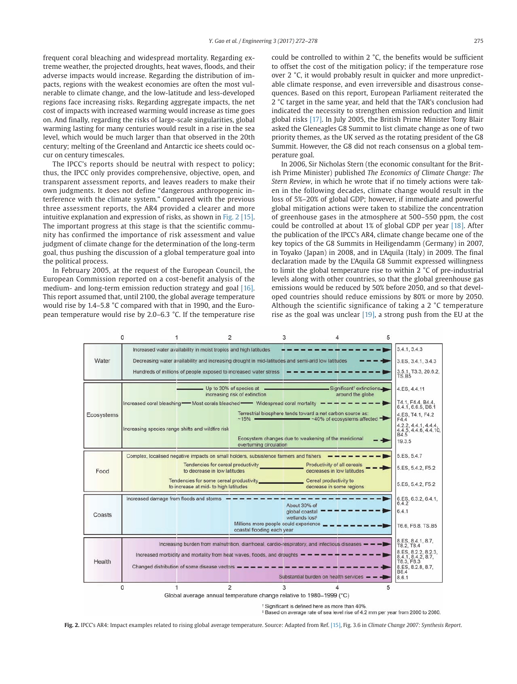frequent coral bleaching and widespread mortality. Regarding extreme weather, the projected droughts, heat waves, floods, and their adverse impacts would increase. Regarding the distribution of impacts, regions with the weakest economies are often the most vulnerable to climate change, and the low-latitude and less-developed regions face increasing risks. Regarding aggregate impacts, the net cost of impacts with increased warming would increase as time goes on. And finally, regarding the risks of large-scale singularities, global warming lasting for many centuries would result in a rise in the sea level, which would be much larger than that observed in the 20th century; melting of the Greenland and Antarctic ice sheets could occur on century timescales.

The IPCC's reports should be neutral with respect to policy; thus, the IPCC only provides comprehensive, objective, open, and transparent assessment reports, and leaves readers to make their own judgments. It does not define "dangerous anthropogenic interference with the climate system." Compared with the previous three assessment reports, the AR4 provided a clearer and more intuitive explanation and expression of risks, as shown in Fig. 2 [15]. The important progress at this stage is that the scientific community has confirmed the importance of risk assessment and value judgment of climate change for the determination of the long-term goal, thus pushing the discussion of a global temperature goal into the political process.

In February 2005, at the request of the European Council, the European Commission reported on a cost-benefit analysis of the medium- and long-term emission reduction strategy and goal [16]. This report assumed that, until 2100, the global average temperature would rise by 1.4–5.8 °C compared with that in 1990, and the European temperature would rise by 2.0–6.3 °C. If the temperature rise could be controlled to within 2 °C, the benefits would be sufficient to offset the cost of the mitigation policy; if the temperature rose over 2 °C, it would probably result in quicker and more unpredictable climate response, and even irreversible and disastrous consequences. Based on this report, European Parliament reiterated the 2 °C target in the same year, and held that the TAR's conclusion had indicated the necessity to strengthen emission reduction and limit global risks [17]. In July 2005, the British Prime Minister Tony Blair asked the Gleneagles G8 Summit to list climate change as one of two priority themes, as the UK served as the rotating president of the G8 Summit. However, the G8 did not reach consensus on a global temperature goal.

In 2006, Sir Nicholas Stern (the economic consultant for the British Prime Minister) published *The Economics of Climate Change: The Stern Review*, in which he wrote that if no timely actions were taken in the following decades, climate change would result in the loss of 5%–20% of global GDP; however, if immediate and powerful global mitigation actions were taken to stabilize the concentration of greenhouse gases in the atmosphere at 500–550 ppm, the cost could be controlled at about 1% of global GDP per year [18]. After the publication of the IPCC's AR4, climate change became one of the key topics of the G8 Summits in Heiligendamm (Germany) in 2007, in Toyako (Japan) in 2008, and in L'Aquila (Italy) in 2009. The final declaration made by the L'Aquila G8 Summit expressed willingness to limit the global temperature rise to within 2 °C of pre-industrial levels along with other countries, so that the global greenhouse gas emissions would be reduced by 50% before 2050, and so that developed countries should reduce emissions by 80% or more by 2050. Although the scientific significance of taking a 2 °C temperature rise as the goal was unclear [19], a strong push from the EU at the



<sup>1</sup> Significant is defined here as more than 40%

# Based on average rate of sea level rise of 4.2 mm per year from 2000 to 2080.

**Fig. 2.** IPCC's AR4: Impact examples related to rising global average temperature. Source: Adapted from Ref. [15], Fig. 3.6 in *Climate Change 2007: Synthesis Report*.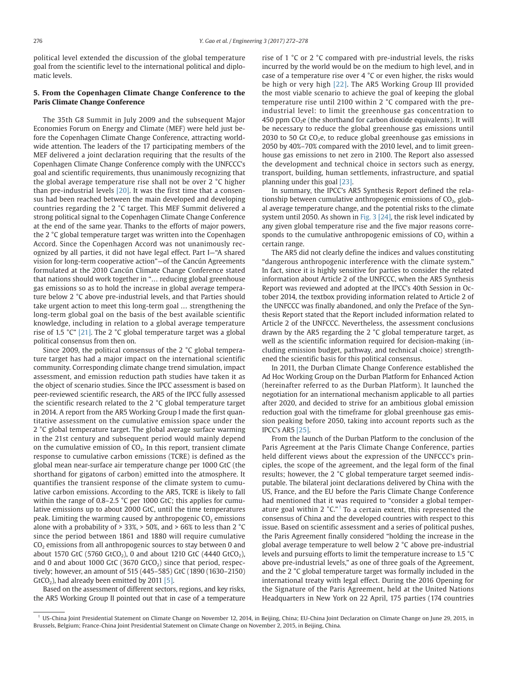political level extended the discussion of the global temperature goal from the scientific level to the international political and diplomatic levels.

# **5. From the Copenhagen Climate Change Conference to the Paris Climate Change Conference**

The 35th G8 Summit in July 2009 and the subsequent Major Economies Forum on Energy and Climate (MEF) were held just before the Copenhagen Climate Change Conference, attracting worldwide attention. The leaders of the 17 participating members of the MEF delivered a joint declaration requiring that the results of the Copenhagen Climate Change Conference comply with the UNFCCC's goal and scientific requirements, thus unanimously recognizing that the global average temperature rise shall not be over 2 °C higher than pre-industrial levels [20]. It was the first time that a consensus had been reached between the main developed and developing countries regarding the 2 °C target. This MEF Summit delivered a strong political signal to the Copenhagen Climate Change Conference at the end of the same year. Thanks to the efforts of major powers, the 2 °C global temperature target was written into the Copenhagen Accord. Since the Copenhagen Accord was not unanimously recognized by all parties, it did not have legal effect. Part I—"A shared vision for long-term cooperative action"—of the Cancún Agreements formulated at the 2010 Cancún Climate Change Conference stated that nations should work together in "… reducing global greenhouse gas emissions so as to hold the increase in global average temperature below 2 °C above pre-industrial levels, and that Parties should take urgent action to meet this long-term goal … strengthening the long-term global goal on the basis of the best available scientific knowledge, including in relation to a global average temperature rise of 1.5 °C" [21]. The 2 °C global temperature target was a global political consensus from then on.

Since 2009, the political consensus of the 2 °C global temperature target has had a major impact on the international scientific community. Corresponding climate change trend simulation, impact assessment, and emission reduction path studies have taken it as the object of scenario studies. Since the IPCC assessment is based on peer-reviewed scientific research, the AR5 of the IPCC fully assessed the scientific research related to the 2 °C global temperature target in 2014. A report from the AR5 Working Group I made the first quantitative assessment on the cumulative emission space under the 2 °C global temperature target. The global average surface warming in the 21st century and subsequent period would mainly depend on the cumulative emission of  $CO<sub>2</sub>$ . In this report, transient climate response to cumulative carbon emissions (TCRE) is defined as the global mean near-surface air temperature change per 1000 GtC (the shorthand for gigatons of carbon) emitted into the atmosphere. It quantifies the transient response of the climate system to cumulative carbon emissions. According to the AR5, TCRE is likely to fall within the range of 0.8–2.5 °C per 1000 GtC; this applies for cumulative emissions up to about 2000 GtC, until the time temperatures peak. Limiting the warming caused by anthropogenic  $CO<sub>2</sub>$  emissions alone with a probability of  $> 33\% > 50\%$ , and  $> 66\%$  to less than 2 °C since the period between 1861 and 1880 will require cumulative  $CO<sub>2</sub>$  emissions from all anthropogenic sources to stay between 0 and about 1570 GtC (5760 GtCO<sub>2</sub>), 0 and about 1210 GtC (4440 GtCO<sub>2</sub>), and 0 and about 1000 GtC (3670 GtCO<sub>2</sub>) since that period, respectively; however, an amount of 515 (445–585) GtC (1890 (1630–2150)  $GtCO<sub>2</sub>$ ), had already been emitted by 2011 [5].

Based on the assessment of different sectors, regions, and key risks, the AR5 Working Group II pointed out that in case of a temperature rise of 1 °C or 2 °C compared with pre-industrial levels, the risks incurred by the world would be on the medium to high level, and in case of a temperature rise over 4 °C or even higher, the risks would be high or very high [22]. The AR5 Working Group III provided the most viable scenario to achieve the goal of keeping the global temperature rise until 2100 within 2 °C compared with the preindustrial level: to limit the greenhouse gas concentration to 450 ppm  $CO<sub>2</sub>e$  (the shorthand for carbon dioxide equivalents). It will be necessary to reduce the global greenhouse gas emissions until 2030 to 50 Gt  $CO<sub>2</sub>e$ , to reduce global greenhouse gas emissions in 2050 by 40%–70% compared with the 2010 level, and to limit greenhouse gas emissions to net zero in 2100. The Report also assessed the development and technical choice in sectors such as energy, transport, building, human settlements, infrastructure, and spatial planning under this goal [23].

In summary, the IPCC's AR5 Synthesis Report defined the relationship between cumulative anthropogenic emissions of  $CO<sub>2</sub>$ , global average temperature change, and the potential risks to the climate system until 2050. As shown in Fig. 3 [24], the risk level indicated by any given global temperature rise and the five major reasons corresponds to the cumulative anthropogenic emissions of  $CO<sub>2</sub>$  within a certain range.

The AR5 did not clearly define the indices and values constituting "dangerous anthropogenic interference with the climate system." In fact, since it is highly sensitive for parties to consider the related information about Article 2 of the UNFCCC, when the AR5 Synthesis Report was reviewed and adopted at the IPCC's 40th Session in October 2014, the textbox providing information related to Article 2 of the UNFCCC was finally abandoned, and only the Preface of the Synthesis Report stated that the Report included information related to Article 2 of the UNFCCC. Nevertheless, the assessment conclusions drawn by the AR5 regarding the 2 °C global temperature target, as well as the scientific information required for decision-making (including emission budget, pathway, and technical choice) strengthened the scientific basis for this political consensus.

In 2011, the Durban Climate Change Conference established the Ad Hoc Working Group on the Durban Platform for Enhanced Action (hereinafter referred to as the Durban Platform). It launched the negotiation for an international mechanism applicable to all parties after 2020, and decided to strive for an ambitious global emission reduction goal with the timeframe for global greenhouse gas emission peaking before 2050, taking into account reports such as the IPCC's AR5 [25].

From the launch of the Durban Platform to the conclusion of the Paris Agreement at the Paris Climate Change Conference, parties held different views about the expression of the UNFCCC's principles, the scope of the agreement, and the legal form of the final results; however, the 2 °C global temperature target seemed indisputable. The bilateral joint declarations delivered by China with the US, France, and the EU before the Paris Climate Change Conference had mentioned that it was required to "consider a global temperature goal within 2  $\mathrm{C}$ ."<sup>†</sup> To a certain extent, this represented the consensus of China and the developed countries with respect to this issue. Based on scientific assessment and a series of political pushes, the Paris Agreement finally considered "holding the increase in the global average temperature to well below 2 °C above pre-industrial levels and pursuing efforts to limit the temperature increase to 1.5 °C above pre-industrial levels," as one of three goals of the Agreement, and the 2 °C global temperature target was formally included in the international treaty with legal effect. During the 2016 Opening for the Signature of the Paris Agreement, held at the United Nations Headquarters in New York on 22 April, 175 parties (174 countries

 $^{\dagger}$  US-China Joint Presidential Statement on Climate Change on November 12, 2014, in Beijing, China; EU-China Joint Declaration on Climate Change on June 29, 2015, in Brussels, Belgium; France-China Joint Presidential Statement on Climate Change on November 2, 2015, in Beijing, China.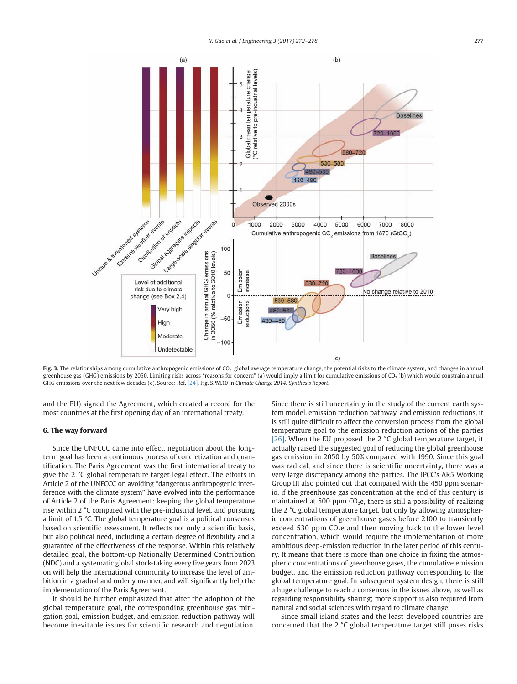

Fig. 3. The relationships among cumulative anthropogenic emissions of CO<sub>2</sub>, global average temperature change, the potential risks to the climate system, and changes in annual greenhouse gas (GHG) emissions by 2050. Limiting risks across "reasons for concern" (a) would imply a limit for cumulative emissions of CO2 (b) which would constrain annual GHG emissions over the next few decades (c). Source: Ref. [24], Fig. SPM.10 in *Climate Change 2014: Synthesis Report*.

and the EU) signed the Agreement, which created a record for the most countries at the first opening day of an international treaty.

### **6. The way forward**

Since the UNFCCC came into effect, negotiation about the longterm goal has been a continuous process of concretization and quantification. The Paris Agreement was the first international treaty to give the 2 °C global temperature target legal effect. The efforts in Article 2 of the UNFCCC on avoiding "dangerous anthropogenic interference with the climate system" have evolved into the performance of Article 2 of the Paris Agreement: keeping the global temperature rise within 2 °C compared with the pre-industrial level, and pursuing a limit of 1.5 °C. The global temperature goal is a political consensus based on scientific assessment. It reflects not only a scientific basis, but also political need, including a certain degree of flexibility and a guarantee of the effectiveness of the response. Within this relatively detailed goal, the bottom-up Nationally Determined Contribution (NDC) and a systematic global stock-taking every five years from 2023 on will help the international community to increase the level of ambition in a gradual and orderly manner, and will significantly help the implementation of the Paris Agreement.

It should be further emphasized that after the adoption of the global temperature goal, the corresponding greenhouse gas mitigation goal, emission budget, and emission reduction pathway will become inevitable issues for scientific research and negotiation.

Since there is still uncertainty in the study of the current earth system model, emission reduction pathway, and emission reductions, it is still quite difficult to affect the conversion process from the global temperature goal to the emission reduction actions of the parties [26]. When the EU proposed the 2 °C global temperature target, it actually raised the suggested goal of reducing the global greenhouse gas emission in 2050 by 50% compared with 1990. Since this goal was radical, and since there is scientific uncertainty, there was a very large discrepancy among the parties. The IPCC's AR5 Working Group III also pointed out that compared with the 450 ppm scenario, if the greenhouse gas concentration at the end of this century is maintained at 500 ppm  $CO<sub>2</sub>e$ , there is still a possibility of realizing the 2 °C global temperature target, but only by allowing atmospheric concentrations of greenhouse gases before 2100 to transiently exceed 530 ppm  $CO<sub>2</sub>e$  and then moving back to the lower level concentration, which would require the implementation of more ambitious deep-emission reduction in the later period of this century. It means that there is more than one choice in fixing the atmospheric concentrations of greenhouse gases, the cumulative emission budget, and the emission reduction pathway corresponding to the global temperature goal. In subsequent system design, there is still a huge challenge to reach a consensus in the issues above, as well as regarding responsibility sharing; more support is also required from natural and social sciences with regard to climate change.

Since small island states and the least-developed countries are concerned that the 2 °C global temperature target still poses risks